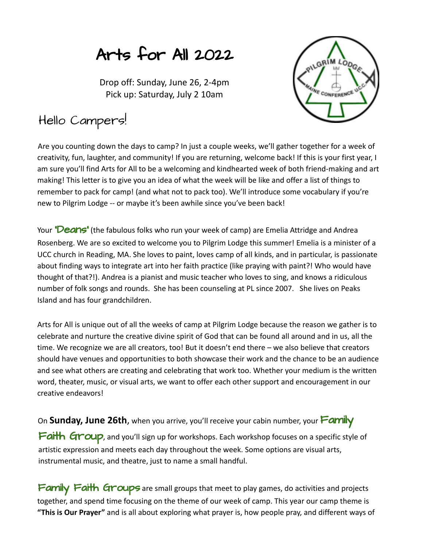## Arts for All 2022

Drop off: Sunday, June 26, 2-4pm Pick up: Saturday, July 2 10am



## Hello Campers!

Are you counting down the days to camp? In just a couple weeks, we'll gather together for a week of creativity, fun, laughter, and community! If you are returning, welcome back! If this is your first year, I am sure you'll find Arts for All to be a welcoming and kindhearted week of both friend-making and art making! This letter is to give you an idea of what the week will be like and offer a list of things to remember to pack for camp! (and what not to pack too). We'll introduce some vocabulary if you're new to Pilgrim Lodge -- or maybe it's been awhile since you've been back!

Your "Deans" (the fabulous folks who run your week of camp) are Emelia Attridge and Andrea Rosenberg. We are so excited to welcome you to Pilgrim Lodge this summer! Emelia is a minister of a UCC church in Reading, MA. She loves to paint, loves camp of all kinds, and in particular, is passionate about finding ways to integrate art into her faith practice (like praying with paint?! Who would have thought of that?!). Andrea is a pianist and music teacher who loves to sing, and knows a ridiculous number of folk songs and rounds. She has been counseling at PL since 2007. She lives on Peaks Island and has four grandchildren.

Arts for All is unique out of all the weeks of camp at Pilgrim Lodge because the reason we gather is to celebrate and nurture the creative divine spirit of God that can be found all around and in us, all the time. We recognize we are all creators, too! But it doesn't end there – we also believe that creators should have venues and opportunities to both showcase their work and the chance to be an audience and see what others are creating and celebrating that work too. Whether your medium is the written word, theater, music, or visual arts, we want to offer each other support and encouragement in our creative endeavors!

On **Sunday, June 26th**, when you arrive, you'll receive your cabin number, your Family

Faith Group, and you'll sign up for workshops. Each workshop focuses on a specific style of artistic expression and meets each day throughout the week. Some options are visual arts, instrumental music, and theatre, just to name a small handful.

Family Faith Groups are small groups that meet to play games, do activities and projects together, and spend time focusing on the theme of our week of camp. This year our camp theme is **"This is Our Prayer"** and is all about exploring what prayer is, how people pray, and different ways of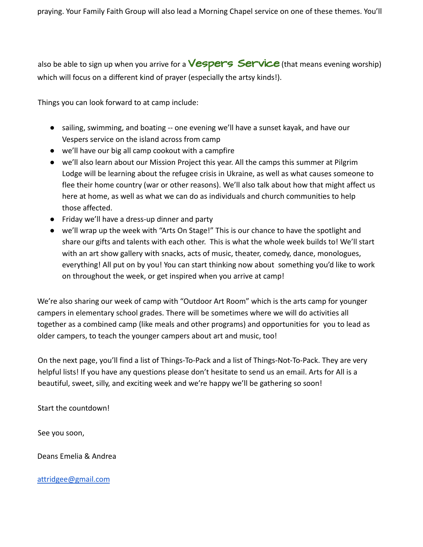also be able to sign up when you arrive for a **Vespers Service** (that means evening worship) which will focus on a different kind of prayer (especially the artsy kinds!).

Things you can look forward to at camp include:

- sailing, swimming, and boating -- one evening we'll have a sunset kayak, and have our Vespers service on the island across from camp
- we'll have our big all camp cookout with a campfire
- we'll also learn about our Mission Project this year. All the camps this summer at Pilgrim Lodge will be learning about the refugee crisis in Ukraine, as well as what causes someone to flee their home country (war or other reasons). We'll also talk about how that might affect us here at home, as well as what we can do as individuals and church communities to help those affected.
- Friday we'll have a dress-up dinner and party
- we'll wrap up the week with "Arts On Stage!" This is our chance to have the spotlight and share our gifts and talents with each other. This is what the whole week builds to! We'll start with an art show gallery with snacks, acts of music, theater, comedy, dance, monologues, everything! All put on by you! You can start thinking now about something you'd like to work on throughout the week, or get inspired when you arrive at camp!

We're also sharing our week of camp with "Outdoor Art Room" which is the arts camp for younger campers in elementary school grades. There will be sometimes where we will do activities all together as a combined camp (like meals and other programs) and opportunities for you to lead as older campers, to teach the younger campers about art and music, too!

On the next page, you'll find a list of Things-To-Pack and a list of Things-Not-To-Pack. They are very helpful lists! If you have any questions please don't hesitate to send us an email. Arts for All is a beautiful, sweet, silly, and exciting week and we're happy we'll be gathering so soon!

Start the countdown!

See you soon,

Deans Emelia & Andrea

[attridgee@gmail.com](mailto:attridgee@gmail.com)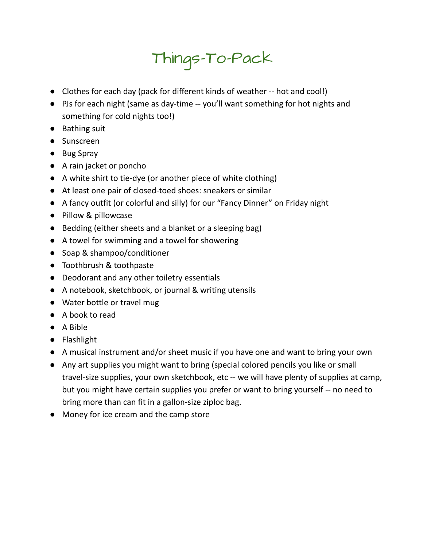## Things-To-Pack

- Clothes for each day (pack for different kinds of weather -- hot and cool!)
- PJs for each night (same as day-time -- you'll want something for hot nights and something for cold nights too!)
- Bathing suit
- Sunscreen
- Bug Spray
- A rain jacket or poncho
- A white shirt to tie-dye (or another piece of white clothing)
- At least one pair of closed-toed shoes: sneakers or similar
- A fancy outfit (or colorful and silly) for our "Fancy Dinner" on Friday night
- Pillow & pillowcase
- Bedding (either sheets and a blanket or a sleeping bag)
- A towel for swimming and a towel for showering
- Soap & shampoo/conditioner
- Toothbrush & toothpaste
- Deodorant and any other toiletry essentials
- A notebook, sketchbook, or journal & writing utensils
- Water bottle or travel mug
- A book to read
- A Bible
- Flashlight
- A musical instrument and/or sheet music if you have one and want to bring your own
- Any art supplies you might want to bring (special colored pencils you like or small travel-size supplies, your own sketchbook, etc -- we will have plenty of supplies at camp, but you might have certain supplies you prefer or want to bring yourself -- no need to bring more than can fit in a gallon-size ziploc bag.
- Money for ice cream and the camp store